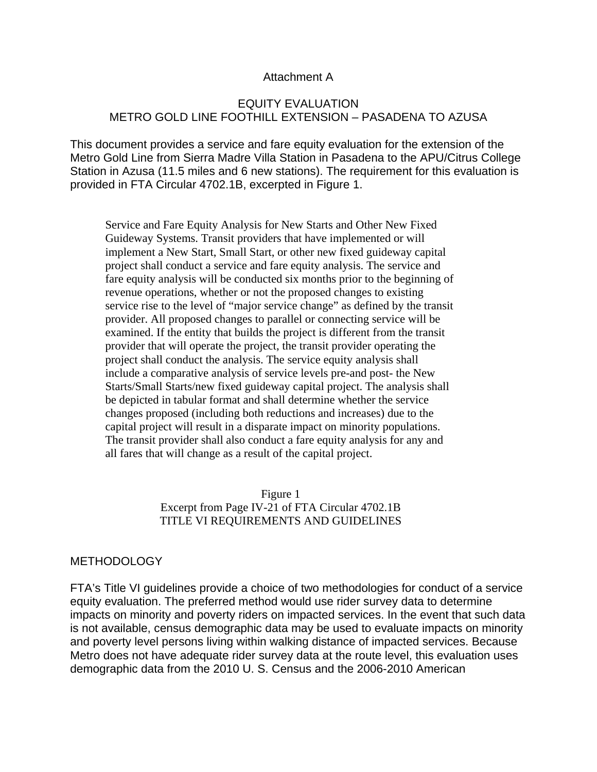### Attachment A

## EQUITY EVALUATION METRO GOLD LINE FOOTHILL EXTENSION – PASADENA TO AZUSA

This document provides a service and fare equity evaluation for the extension of the Metro Gold Line from Sierra Madre Villa Station in Pasadena to the APU/Citrus College Station in Azusa (11.5 miles and 6 new stations). The requirement for this evaluation is provided in FTA Circular 4702.1B, excerpted in Figure 1.

Service and Fare Equity Analysis for New Starts and Other New Fixed Guideway Systems. Transit providers that have implemented or will implement a New Start, Small Start, or other new fixed guideway capital project shall conduct a service and fare equity analysis. The service and fare equity analysis will be conducted six months prior to the beginning of revenue operations, whether or not the proposed changes to existing service rise to the level of "major service change" as defined by the transit provider. All proposed changes to parallel or connecting service will be examined. If the entity that builds the project is different from the transit provider that will operate the project, the transit provider operating the project shall conduct the analysis. The service equity analysis shall include a comparative analysis of service levels pre-and post- the New Starts/Small Starts/new fixed guideway capital project. The analysis shall be depicted in tabular format and shall determine whether the service changes proposed (including both reductions and increases) due to the capital project will result in a disparate impact on minority populations. The transit provider shall also conduct a fare equity analysis for any and all fares that will change as a result of the capital project.

> Figure 1 Excerpt from Page IV-21 of FTA Circular 4702.1B TITLE VI REQUIREMENTS AND GUIDELINES

### METHODOLOGY

FTA's Title VI guidelines provide a choice of two methodologies for conduct of a service equity evaluation. The preferred method would use rider survey data to determine impacts on minority and poverty riders on impacted services. In the event that such data is not available, census demographic data may be used to evaluate impacts on minority and poverty level persons living within walking distance of impacted services. Because Metro does not have adequate rider survey data at the route level, this evaluation uses demographic data from the 2010 U. S. Census and the 2006-2010 American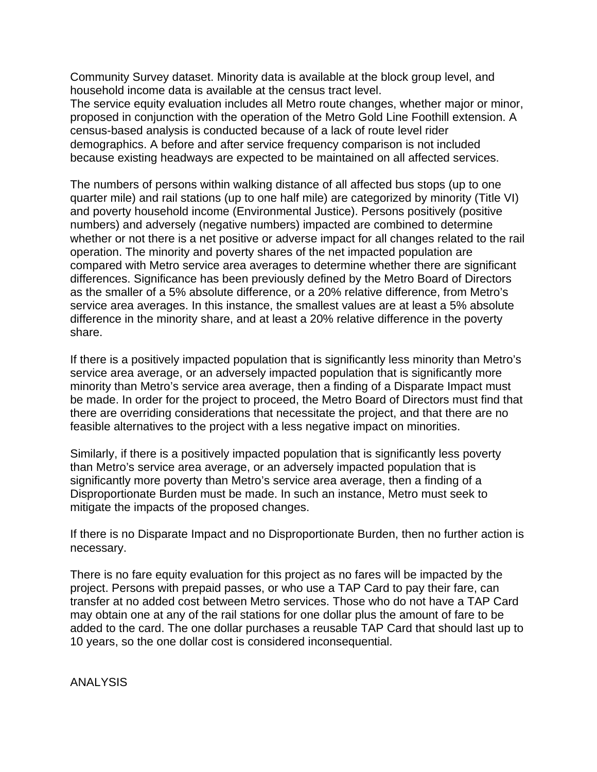Community Survey dataset. Minority data is available at the block group level, and household income data is available at the census tract level.

The service equity evaluation includes all Metro route changes, whether major or minor, proposed in conjunction with the operation of the Metro Gold Line Foothill extension. A census-based analysis is conducted because of a lack of route level rider demographics. A before and after service frequency comparison is not included because existing headways are expected to be maintained on all affected services.

The numbers of persons within walking distance of all affected bus stops (up to one quarter mile) and rail stations (up to one half mile) are categorized by minority (Title VI) and poverty household income (Environmental Justice). Persons positively (positive numbers) and adversely (negative numbers) impacted are combined to determine whether or not there is a net positive or adverse impact for all changes related to the rail operation. The minority and poverty shares of the net impacted population are compared with Metro service area averages to determine whether there are significant differences. Significance has been previously defined by the Metro Board of Directors as the smaller of a 5% absolute difference, or a 20% relative difference, from Metro's service area averages. In this instance, the smallest values are at least a 5% absolute difference in the minority share, and at least a 20% relative difference in the poverty share.

If there is a positively impacted population that is significantly less minority than Metro's service area average, or an adversely impacted population that is significantly more minority than Metro's service area average, then a finding of a Disparate Impact must be made. In order for the project to proceed, the Metro Board of Directors must find that there are overriding considerations that necessitate the project, and that there are no feasible alternatives to the project with a less negative impact on minorities.

Similarly, if there is a positively impacted population that is significantly less poverty than Metro's service area average, or an adversely impacted population that is significantly more poverty than Metro's service area average, then a finding of a Disproportionate Burden must be made. In such an instance, Metro must seek to mitigate the impacts of the proposed changes.

If there is no Disparate Impact and no Disproportionate Burden, then no further action is necessary.

There is no fare equity evaluation for this project as no fares will be impacted by the project. Persons with prepaid passes, or who use a TAP Card to pay their fare, can transfer at no added cost between Metro services. Those who do not have a TAP Card may obtain one at any of the rail stations for one dollar plus the amount of fare to be added to the card. The one dollar purchases a reusable TAP Card that should last up to 10 years, so the one dollar cost is considered inconsequential.

ANALYSIS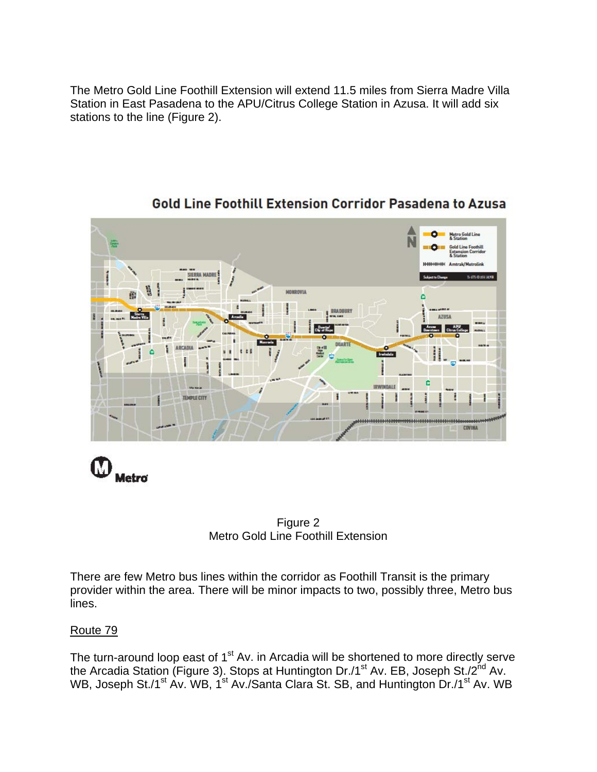The Metro Gold Line Foothill Extension will extend 11.5 miles from Sierra Madre Villa Station in East Pasadena to the APU/Citrus College Station in Azusa. It will add six stations to the line (Figure 2).



# **Gold Line Foothill Extension Corridor Pasadena to Azusa**

M Metro



There are few Metro bus lines within the corridor as Foothill Transit is the primary provider within the area. There will be minor impacts to two, possibly three, Metro bus lines.

## Route 79

The turn-around loop east of  $1<sup>st</sup>$  Av. in Arcadia will be shortened to more directly serve the Arcadia Station (Figure 3). Stops at Huntington Dr./1<sup>st</sup> Av. EB, Joseph St./2<sup>nd</sup> Av. WB, Joseph St./1<sup>st</sup> Av. WB, 1<sup>st</sup> Av./Santa Clara St. SB, and Huntington Dr./1<sup>st</sup> Av. WB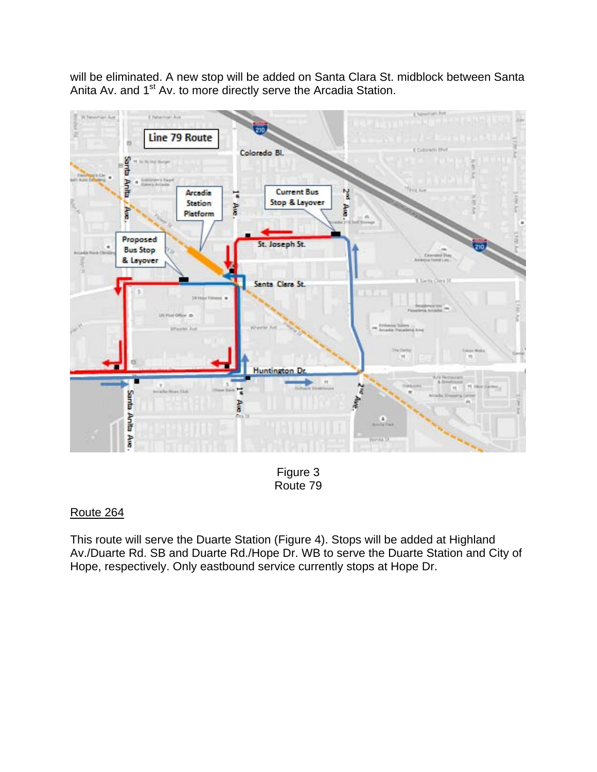will be eliminated. A new stop will be added on Santa Clara St. midblock between Santa Anita Av. and 1<sup>st</sup> Av. to more directly serve the Arcadia Station.



Figure 3 Route 79

## Route 264

This route will serve the Duarte Station (Figure 4). Stops will be added at Highland Av./Duarte Rd. SB and Duarte Rd./Hope Dr. WB to serve the Duarte Station and City of Hope, respectively. Only eastbound service currently stops at Hope Dr.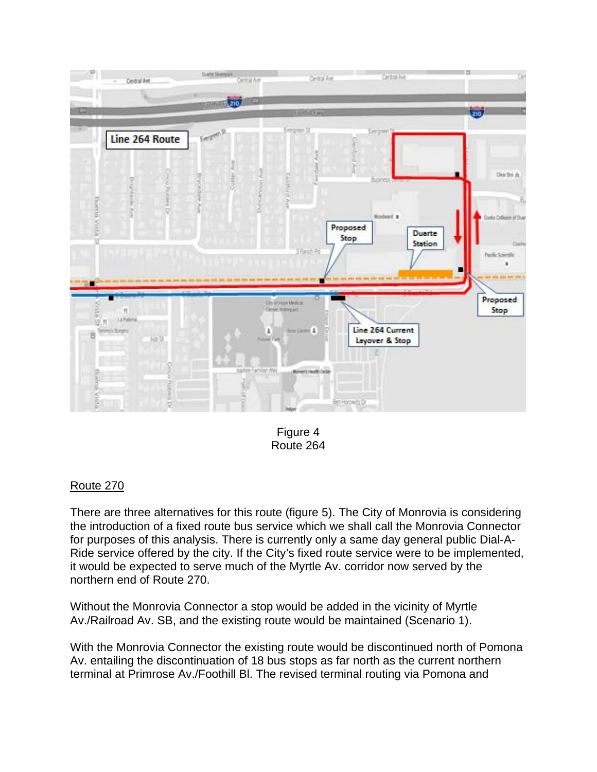

Figure 4 Route 264

## Route 270

There are three alternatives for this route (figure 5). The City of Monrovia is considering the introduction of a fixed route bus service which we shall call the Monrovia Connector for purposes of this analysis. There is currently only a same day general public Dial-A-Ride service offered by the city. If the City's fixed route service were to be implemented, it would be expected to serve much of the Myrtle Av. corridor now served by the northern end of Route 270.

Without the Monrovia Connector a stop would be added in the vicinity of Myrtle Av./Railroad Av. SB, and the existing route would be maintained (Scenario 1).

With the Monrovia Connector the existing route would be discontinued north of Pomona Av. entailing the discontinuation of 18 bus stops as far north as the current northern terminal at Primrose Av./Foothill Bl. The revised terminal routing via Pomona and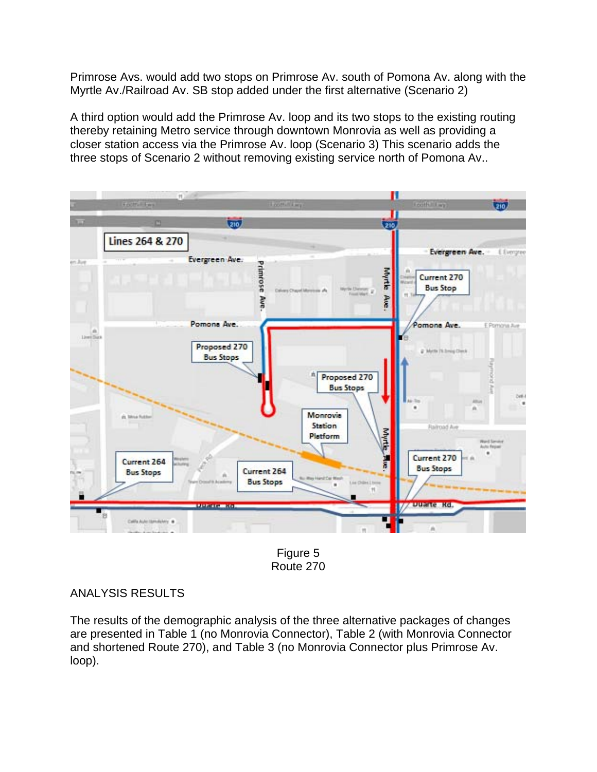Primrose Avs. would add two stops on Primrose Av. south of Pomona Av. along with the Myrtle Av./Railroad Av. SB stop added under the first alternative (Scenario 2)

A third option would add the Primrose Av. loop and its two stops to the existing routing thereby retaining Metro service through downtown Monrovia as well as providing a closer station access via the Primrose Av. loop (Scenario 3) This scenario adds the three stops of Scenario 2 without removing existing service north of Pomona Av..



Figure 5 Route 270

## ANALYSIS RESULTS

The results of the demographic analysis of the three alternative packages of changes are presented in Table 1 (no Monrovia Connector), Table 2 (with Monrovia Connector and shortened Route 270), and Table 3 (no Monrovia Connector plus Primrose Av. loop).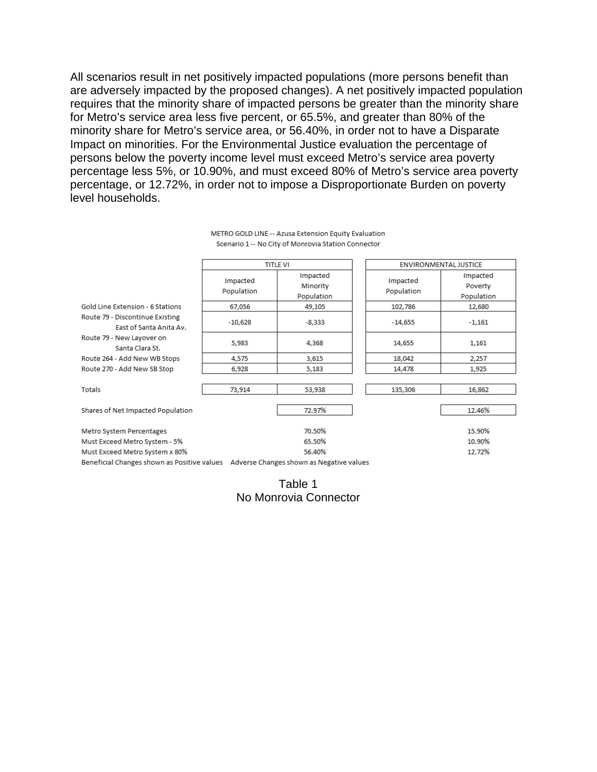All scenarios result in net positively impacted populations (more persons benefit than are adversely impacted by the proposed changes). A net positively impacted population requires that the minority share of impacted persons be greater than the minority share for Metro's service area less five percent, or 65.5%, and greater than 80% of the minority share for Metro's service area, or 56.40%, in order not to have a Disparate Impact on minorities. For the Environmental Justice evaluation the percentage of persons below the poverty income level must exceed Metro's service area poverty percentage less 5%, or 10.90%, and must exceed 80% of Metro's service area poverty percentage, or 12.72%, in order not to impose a Disproportionate Burden on poverty level households.

|                                                                                      | <b>TITLE VI</b>        |                                    | <b>ENVIRONMENTAL JUSTICE</b> |                                   |
|--------------------------------------------------------------------------------------|------------------------|------------------------------------|------------------------------|-----------------------------------|
|                                                                                      | Impacted<br>Population | Impacted<br>Minority<br>Population | Impacted<br>Population       | Impacted<br>Poverty<br>Population |
| <b>Gold Line Extension - 6 Stations</b>                                              | 67,056                 | 49,105                             | 102,786                      | 12,680                            |
| Route 79 - Discontinue Existing<br>East of Santa Anita Av.                           | $-10,628$              | $-8,333$                           | $-14,655$                    | $-1,161$                          |
| Route 79 - New Layover on<br>Santa Clara St.                                         | 5,983                  | 4,368                              | 14,655                       | 1,161                             |
| Route 264 - Add New WB Stops                                                         | 4,575                  | 3,615                              | 18,042                       | 2,257                             |
| Route 270 - Add New SB Stop                                                          | 6,928                  | 5,183                              | 14,478                       | 1,925                             |
| <b>Totals</b>                                                                        | 73,914                 | 53,938                             | 135,306                      | 16,862                            |
| Shares of Net Impacted Population                                                    |                        | 72.97%                             |                              | 12.46%                            |
| Metro System Percentages                                                             |                        | 70.50%                             |                              | 15.90%                            |
| Must Exceed Metro System - 5%                                                        |                        | 65.50%                             |                              | 10.90%                            |
| Must Exceed Metro System x 80%                                                       |                        | 56.40%                             |                              | 12.72%                            |
| Beneficial Changes shown as Positive values Adverse Changes shown as Negative values |                        |                                    |                              |                                   |

#### METRO GOLD LINE -- Azusa Extension Equity Evaluation Scenario 1 -- No City of Monrovia Station Connector

Table 1 No Monrovia Connector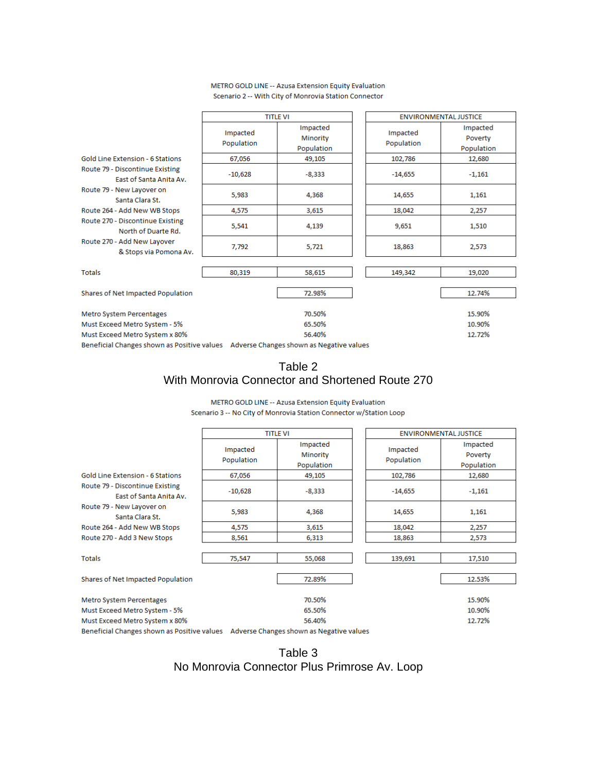|                                                                                      | <b>TITLE VI</b>        |                                    | <b>ENVIRONMENTAL JUSTICE</b> |                                   |
|--------------------------------------------------------------------------------------|------------------------|------------------------------------|------------------------------|-----------------------------------|
|                                                                                      | Impacted<br>Population | Impacted<br>Minority<br>Population | Impacted<br>Population       | Impacted<br>Poverty<br>Population |
| <b>Gold Line Extension - 6 Stations</b>                                              | 67,056                 | 49,105                             | 102,786                      | 12,680                            |
| Route 79 - Discontinue Existing<br>East of Santa Anita Av.                           | $-10,628$              | -8,333                             | $-14,655$                    | $-1,161$                          |
| Route 79 - New Layover on<br>Santa Clara St.                                         | 5,983                  | 4,368                              | 14,655                       | 1,161                             |
| Route 264 - Add New WB Stops                                                         | 4,575                  | 3,615                              | 18,042                       | 2,257                             |
| Route 270 - Discontinue Existing<br>North of Duarte Rd.                              | 5,541                  | 4,139                              | 9,651                        | 1,510                             |
| Route 270 - Add New Layover<br>& Stops via Pomona Av.                                | 7,792                  | 5,721                              | 18,863                       | 2,573                             |
|                                                                                      |                        |                                    |                              |                                   |
| <b>Totals</b>                                                                        | 80,319                 | 58,615                             | 149,342                      | 19,020                            |
| Shares of Net Impacted Population                                                    |                        | 72.98%                             |                              | 12.74%                            |
| Metro System Percentages                                                             |                        | 70.50%                             |                              | 15.90%                            |
| Must Exceed Metro System - 5%                                                        |                        | 65.50%                             |                              | 10.90%                            |
| Must Exceed Metro System x 80%                                                       |                        | 56.40%                             |                              | 12.72%                            |
| Beneficial Changes shown as Positive values Adverse Changes shown as Negative values |                        |                                    |                              |                                   |

#### METRO GOLD LINE -- Azusa Extension Equity Evaluation Scenario 2 -- With City of Monrovia Station Connector

## Table 2 With Monrovia Connector and Shortened Route 270

METRO GOLD LINE -- Azusa Extension Equity Evaluation

|                                                            | <b>TITLE VI</b>        |                                    | <b>ENVIRONMENTAL JUSTICE</b> |                                   |
|------------------------------------------------------------|------------------------|------------------------------------|------------------------------|-----------------------------------|
|                                                            | Impacted<br>Population | Impacted<br>Minority<br>Population | Impacted<br>Population       | Impacted<br>Poverty<br>Population |
| <b>Gold Line Extension - 6 Stations</b>                    | 67,056                 | 49,105                             | 102,786                      | 12,680                            |
| Route 79 - Discontinue Existing<br>East of Santa Anita Av. | $-10,628$              | $-8,333$                           | $-14,655$                    | $-1,161$                          |
| Route 79 - New Layover on<br>Santa Clara St.               | 5,983                  | 4,368                              | 14,655                       | 1,161                             |
| Route 264 - Add New WB Stops                               | 4,575                  | 3,615                              | 18,042                       | 2,257                             |
| Route 270 - Add 3 New Stops                                | 8,561                  | 6,313                              | 18,863                       | 2,573                             |
| <b>Totals</b>                                              | 75,547                 | 55,068                             | 139,691                      | 17,510                            |
| Shares of Net Impacted Population                          |                        | 72.89%                             |                              | 12.53%                            |
| Metro System Percentages                                   |                        | 70.50%                             |                              | 15.90%                            |
| Must Exceed Metro System - 5%                              |                        | 65.50%                             |                              | 10.90%                            |
| Must Exceed Metro System x 80%                             |                        | 56.40%                             |                              | 12.72%                            |

Beneficial Changes shown as Positive values Adverse Changes shown as Negative values